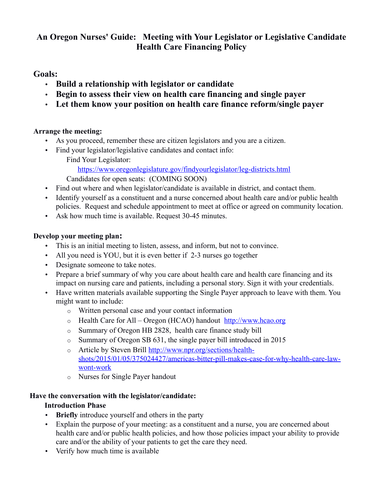# **An Oregon Nurses' Guide: Meeting with Your Legislator or Legislative Candidate Health Care Financing Policy**

## **Goals:**

- **Build a relationship with legislator or candidate**
- **Begin to assess their view on health care financing and single payer**
- **Let them know your position on health care finance reform/single payer**

#### **Arrange the meeting:**

- As you proceed, remember these are citizen legislators and you are a citizen.
- Find your legislator/legislative candidates and contact info: Find Your Legislator:

<https://www.oregonlegislature.gov/findyourlegislator/leg-districts.html>

Candidates for open seats: (COMING SOON)

- Find out where and when legislator/candidate is available in district, and contact them.
- Identify yourself as a constituent and a nurse concerned about health care and/or public health policies. Request and schedule appointment to meet at office or agreed on community location.
- Ask how much time is available. Request 30-45 minutes.

#### **Develop your meeting plan:**

- This is an initial meeting to listen, assess, and inform, but not to convince.
- All you need is YOU, but it is even better if 2-3 nurses go together
- Designate someone to take notes.
- Prepare a brief summary of why you care about health care and health care financing and its impact on nursing care and patients, including a personal story. Sign it with your credentials.
- Have written materials available supporting the Single Payer approach to leave with them. You might want to include:
	- o Written personal case and your contact information
	- o Health Care for All Oregon (HCAO) handout [http://www. hcao.org](http://www.hcao.org/)
	- o Summary of Oregon HB 2828, health care finance study bill
	- o Summary of Oregon SB 631, the single payer bill introduced in 2015
	- o Article by Steven Brill [http://www.npr.org/sections/health](http://www.npr.org/sections/health-shots/2015/01/05/375024427/americas-bitter-pill-makes-case-for-why-health-care-law-wont-work)[shots/2015/01/05/375024427/americas-bitter-pill-makes-case-for-why-health-care-law](http://www.npr.org/sections/health-shots/2015/01/05/375024427/americas-bitter-pill-makes-case-for-why-health-care-law-wont-work)[wont-work](http://www.npr.org/sections/health-shots/2015/01/05/375024427/americas-bitter-pill-makes-case-for-why-health-care-law-wont-work)
	- o Nurses for Single Payer handout

## **Have the conversation with the legislator/candidate:**

## **Introduction Phase**

- **Briefly** introduce yourself and others in the party
- Explain the purpose of your meeting: as a constituent and a nurse, you are concerned about health care and/or public health policies, and how those policies impact your ability to provide care and/or the ability of your patients to get the care they need.
- Verify how much time is available